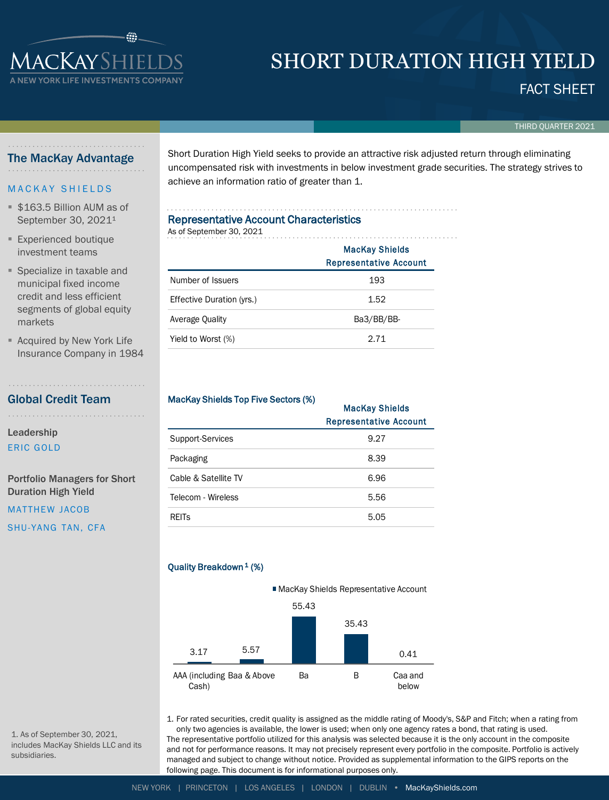# **IACKAYSHIELI** SHORT DURATION HIGH YIELD

FACT SHEET

THIRD QUARTER 2021

### The MacKay Advantage

**WYORK LIFE INVESTMENTS CO** 

#### **MACKAY SHIELDS**

- \$163.5 Billion AUM as of September 30, 2021<sup>1</sup>
- **Experienced boutique** investment teams
- Specialize in taxable and municipal fixed income credit and less efficient segments of global equity markets
- Acquired by New York Life Insurance Company in 1984

# Global Credit Team

Leadership

ERIC GOLD

Portfolio Managers for Short Duration High Yield

MATTHEW JACOB

SHU-YANG TAN, CFA

Short Duration High Yield seeks to provide an attractive risk adjusted return through eliminating uncompensated risk with investments in below investment grade securities. The strategy strives to achieve an information ratio of greater than 1.

# Representative Account Characteristics As of September 30, 2021

|                           | <b>MacKay Shields</b><br><b>Representative Account</b> |  |  |  |
|---------------------------|--------------------------------------------------------|--|--|--|
| Number of Issuers         | 193                                                    |  |  |  |
| Effective Duration (yrs.) | 1.52                                                   |  |  |  |
| Average Quality           | Ba3/BB/BB-                                             |  |  |  |
| Yield to Worst (%)        | 2.71                                                   |  |  |  |

#### MacKay Shields Top Five Sectors (%)

| <b>Macriay Shields TOP LIVE SECTOR (70)</b> | <b>MacKay Shields</b><br><b>Representative Account</b> |  |  |
|---------------------------------------------|--------------------------------------------------------|--|--|
| Support-Services                            | 9.27                                                   |  |  |
| Packaging                                   | 8.39                                                   |  |  |
| Cable & Satellite TV                        | 6.96                                                   |  |  |
| Telecom - Wireless                          | 5.56                                                   |  |  |
| <b>REITS</b>                                | 5.05                                                   |  |  |

# Quality Breakdown<sup>1</sup> (%)



1. For rated securities, credit quality is assigned as the middle rating of Moody's, S&P and Fitch; when a rating from only two agencies is available, the lower is used; when only one agency rates a bond, that rating is used. The representative portfolio utilized for this analysis was selected because it is the only account in the composite and not for performance reasons. It may not precisely represent every portfolio in the composite. Portfolio is actively managed and subject to change without notice. Provided as supplemental information to the GIPS reports on the following page. This document is for informational purposes only.

1. As of September 30, 2021, includes MacKay Shields LLC and its subsidiaries.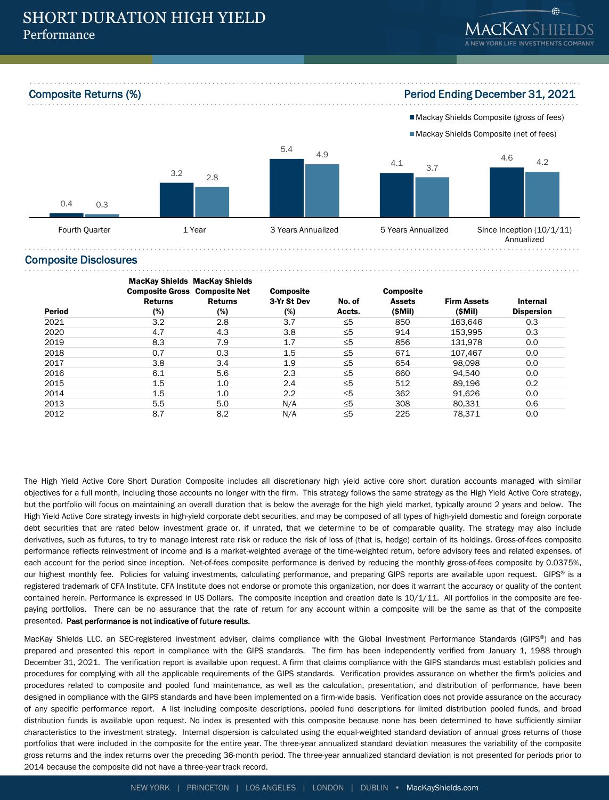Composite Returns (%) Period Ending December 31, 2021







#### Composite Disclosures

| Period | <b>MacKay Shields MacKay Shields</b>                                            |     | <b>Composite</b><br>3-Yr St Dev | No. of   | <b>Composite</b><br><b>Assets</b> | <b>Firm Assets</b> | <b>Internal</b> |
|--------|---------------------------------------------------------------------------------|-----|---------------------------------|----------|-----------------------------------|--------------------|-----------------|
|        | <b>Composite Gross Composite Net</b><br><b>Returns</b><br>Returns<br>(%)<br>(%) |     |                                 |          |                                   |                    |                 |
|        |                                                                                 |     |                                 |          |                                   |                    |                 |
|        |                                                                                 | (%) | Accts.                          | (SMII)   | (SMII)                            | <b>Dispersion</b>  |                 |
| 2021   | 3.2                                                                             | 2.8 | 3.7                             | ≤5       | 850                               | 163.646            | 0.3             |
| 2020   | 4.7                                                                             | 4.3 | 3.8                             | $\leq 5$ | 914                               | 153.995            | 0.3             |
| 2019   | 8.3                                                                             | 7.9 | 1.7                             | $\leq 5$ | 856                               | 131.978            | 0.0             |
| 2018   | 0.7                                                                             | 0.3 | 1.5                             | $\leq 5$ | 671                               | 107.467            | 0.0             |
| 2017   | 3.8                                                                             | 3.4 | 1.9                             | ≤5       | 654                               | 98.098             | 0.0             |
| 2016   | 6.1                                                                             | 5.6 | 2.3                             | ≤5       | 660                               | 94.540             | 0.0             |
| 2015   | 1.5                                                                             | 1.0 | 2.4                             | ≤5       | 512                               | 89.196             | 0.2             |
| 2014   | 1.5                                                                             | 1.0 | 2.2                             | $\leq 5$ | 362                               | 91.626             | 0.0             |
| 2013   | 5.5                                                                             | 5.0 | N/A                             | $\leq 5$ | 308                               | 80,331             | 0.6             |
| 2012   | 8.7                                                                             | 8.2 | N/A                             | $\leq 5$ | 225                               | 78.371             | 0.0             |

The High Yield Active Core Short Duration Composite includes all discretionary high yield active core short duration accounts managed with similar objectives for a full month, including those accounts no longer with the firm. This strategy follows the same strategy as the High Yield Active Core strategy, but the portfolio will focus on maintaining an overall duration that is below the average for the high yield market, typically around 2 years and below. The High Yield Active Core strategy invests in high-yield corporate debt securities, and may be composed of all types of high-yield domestic and foreign corporate debt securities that are rated below investment grade or, if unrated, that we determine to be of comparable quality. The strategy may also include derivatives, such as futures, to try to manage interest rate risk or reduce the risk of loss of (that is, hedge) certain of its holdings. Gross-of-fees composite performance reflects reinvestment of income and is a market-weighted average of the time-weighted return, before advisory fees and related expenses, of each account for the period since inception. Net-of-fees composite performance is derived by reducing the monthly gross-of-fees composite by 0.0375%, our highest monthly fee. Policies for valuing investments, calculating performance, and preparing GIPS reports are available upon request. GIPS® is a registered trademark of CFA Institute. CFA Institute does not endorse or promote this organization, nor does it warrant the accuracy or quality of the content contained herein. Performance is expressed in US Dollars. The composite inception and creation date is 10/1/11. All portfolios in the composite are feepaying portfolios. There can be no assurance that the rate of return for any account within a composite will be the same as that of the composite presented. Past performance is not indicative of future results.

MacKay Shields LLC, an SEC-registered investment adviser, claims compliance with the Global Investment Performance Standards (GIPS®) and has prepared and presented this report in compliance with the GIPS standards. The firm has been independently verified from January 1, 1988 through December 31, 2021. The verification report is available upon request. A firm that claims compliance with the GIPS standards must establish policies and procedures for complying with all the applicable requirements of the GIPS standards. Verification provides assurance on whether the firm's policies and procedures related to composite and pooled fund maintenance, as well as the calculation, presentation, and distribution of performance, have been designed in compliance with the GIPS standards and have been implemented on a firm-wide basis. Verification does not provide assurance on the accuracy of any specific performance report. A list including composite descriptions, pooled fund descriptions for limited distribution pooled funds, and broad distribution funds is available upon request. No index is presented with this composite because none has been determined to have sufficiently similar characteristics to the investment strategy. Internal dispersion is calculated using the equal-weighted standard deviation of annual gross returns of those portfolios that were included in the composite for the entire year. The three-year annualized standard deviation measures the variability of the composite gross returns and the index returns over the preceding 36-month period. The three-year annualized standard deviation is not presented for periods prior to 2014 because the composite did not have a three-year track record.